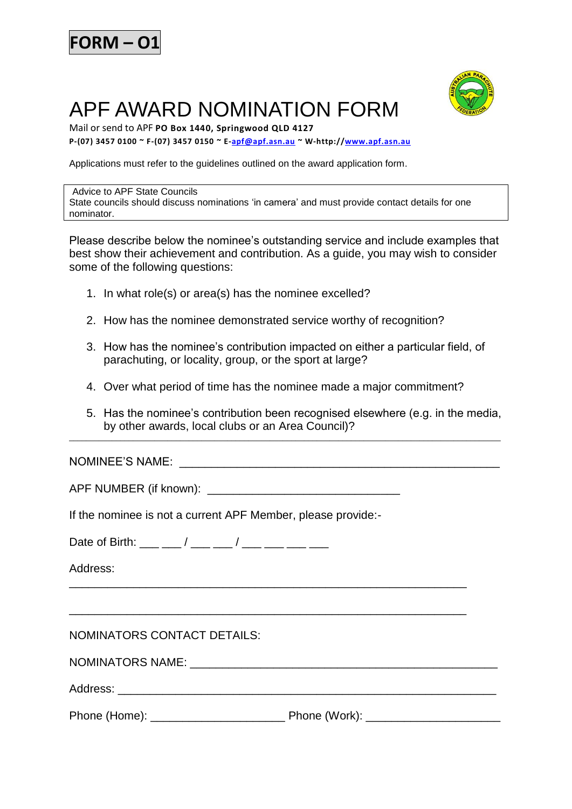

## APF AWARD NOMINATION FORM



Mail or send to APF **PO Box 1440, Springwood QLD 4127**

**P-(07) 3457 0100 ~ F-(07) 3457 0150 ~ E[-apf@apf.asn.au](mailto:apf@apf.asn.au) ~ W-http:/[/www.apf.asn.au](file://jupiter/apfdata/APF%20Shared%20Data/APFDOCS/FORMS_web/Licence%20Certificates/certificate%20application%20form%20a,%20b,%20c,%20d,%20e/www.apf.asn.au)**

Applications must refer to the guidelines outlined on the award application form.

## Advice to APF State Councils

State councils should discuss nominations 'in camera' and must provide contact details for one nominator.

Please describe below the nominee's outstanding service and include examples that best show their achievement and contribution. As a guide, you may wish to consider some of the following questions:

- 1. In what role(s) or area(s) has the nominee excelled?
- 2. How has the nominee demonstrated service worthy of recognition?
- 3. How has the nominee's contribution impacted on either a particular field, of parachuting, or locality, group, or the sport at large?
- 4. Over what period of time has the nominee made a major commitment?
- 5. Has the nominee's contribution been recognised elsewhere (e.g. in the media, by other awards, local clubs or an Area Council)?

\_\_\_\_\_\_\_\_\_\_\_\_\_\_\_\_\_\_\_\_\_\_\_\_\_\_\_\_\_\_\_\_\_\_\_\_\_\_\_\_\_\_\_\_\_\_\_\_\_\_\_\_\_\_\_\_\_\_\_\_\_\_\_\_\_\_\_\_\_\_\_\_\_\_\_\_\_\_\_\_\_\_\_\_\_\_\_\_\_\_\_\_\_\_\_\_\_\_\_\_\_

NOMINEE'S NAME: \_\_\_\_\_\_\_\_\_\_\_\_\_\_\_\_\_\_\_\_\_\_\_\_\_\_\_\_\_\_\_\_\_\_\_\_\_\_\_\_\_\_\_\_\_\_\_\_\_\_

APF NUMBER (if known):

If the nominee is not a current APF Member, please provide:-

Date of Birth: \_\_\_ \_\_ / \_\_\_ \_\_ / \_\_\_ \_\_ \_\_ \_\_ \_\_

Address:

\_\_\_\_\_\_\_\_\_\_\_\_\_\_\_\_\_\_\_\_\_\_\_\_\_\_\_\_\_\_\_\_\_\_\_\_\_\_\_\_\_\_\_\_\_\_\_\_\_\_\_\_\_\_\_\_\_\_\_\_\_\_

\_\_\_\_\_\_\_\_\_\_\_\_\_\_\_\_\_\_\_\_\_\_\_\_\_\_\_\_\_\_\_\_\_\_\_\_\_\_\_\_\_\_\_\_\_\_\_\_\_\_\_\_\_\_\_\_\_\_\_\_\_\_

NOMINATORS CONTACT DETAILS:

NOMINATORS NAME:  $\blacksquare$ 

Address: **and a set of the set of the set of the set of the set of the set of the set of the set of the set of the set of the set of the set of the set of the set of the set of the set of the set of the set of the set of t** 

Phone (Home): \_\_\_\_\_\_\_\_\_\_\_\_\_\_\_\_\_\_\_\_\_ Phone (Work): \_\_\_\_\_\_\_\_\_\_\_\_\_\_\_\_\_\_\_\_\_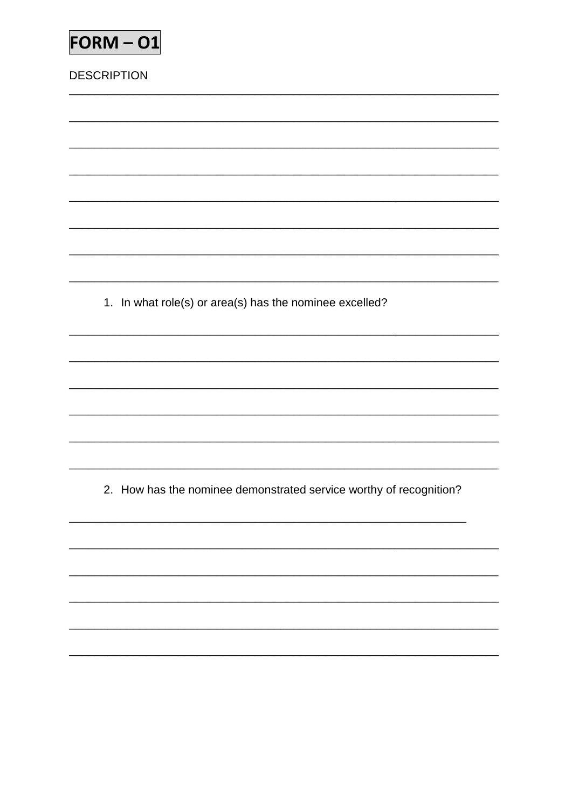| $FORM - O1$                                             |
|---------------------------------------------------------|
| <b>DESCRIPTION</b>                                      |
|                                                         |
|                                                         |
|                                                         |
|                                                         |
|                                                         |
|                                                         |
|                                                         |
| 1. In what role(s) or area(s) has the nominee excelled? |
|                                                         |

<u> 1980 - Johann Barbara, martxa al</u>

 $\overline{\phantom{0}}$ 

 $\overline{\phantom{0}}$ 

2. How has the nominee demonstrated service worthy of recognition?

<u> 1989 - Andrea Santa Andrea Andrea Andrea Andrea Andrea Andrea Andrea Andrea Andrea Andrea Andrea Andrea Andr</u>